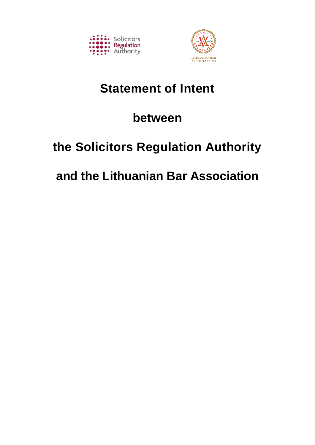



# **Statement of Intent**

# **between**

# **the Solicitors Regulation Authority**

# **and the Lithuanian Bar Association**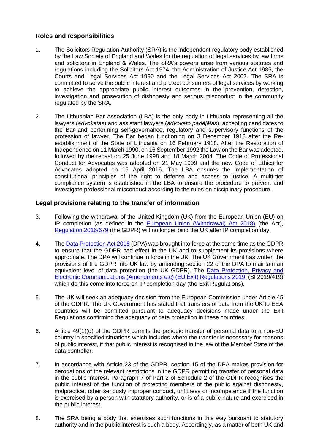## **Roles and responsibilities**

- 1. The Solicitors Regulation Authority (SRA) is the independent regulatory body established by the Law Society of England and Wales for the regulation of legal services by law firms and solicitors in England & Wales. The SRA's powers arise from various statutes and regulations including the Solicitors Act 1974, the Administration of Justice Act 1985, the Courts and Legal Services Act 1990 and the Legal Services Act 2007. The SRA is committed to serve the public interest and protect consumers of legal services by working to achieve the appropriate public interest outcomes in the prevention, detection, investigation and prosecution of dishonesty and serious misconduct in the community regulated by the SRA.
- 2. The Lithuanian Bar Association (LBA) is the only body in Lithuania representing all the lawyers (*advokatas*) and assistant lawyers (*advokato padėjėjas*), accepting candidates to the Bar and performing self-governance, regulatory and supervisory functions of the profession of lawyer. The Bar began functioning on 3 December 1918 after the Reestablishment of the State of Lithuania on 16 February 1918. After the Restoration of Independence on 11 March 1990, on 16 September 1992 the Law on the Bar was adopted, followed by the recast on 25 June 1998 and 18 March 2004. The Code of Professional Conduct for Advocates was adopted on 21 May 1999 and the new Code of Ethics for Advocates adopted on 15 April 2016. The LBA ensures the implementation of constitutional principles of the right to defense and access to justice. A multi-tier compliance system is established in the LBA to ensure the procedure to prevent and investigate professional misconduct according to the rules on disciplinary procedure.

# **Legal provisions relating to the transfer of information**

- 3. Following the withdrawal of the United Kingdom (UK) from the European Union (EU) on IP completion (as defined in the [European Union \(Withdrawal\) Act 2018\)](http://www.legislation.gov.uk/ukpga/2018/16/contents/enacted) (the Act), [Regulation 2016/679](https://eur-lex.europa.eu/legal-content/EN/TXT/PDF/?uri=CELEX:32016R0679) (the GDPR) will no longer bind the UK after IP completion day.
- 4. The [Data Protection Act 2018](http://www.legislation.gov.uk/ukpga/2018/12/contents/enacted) (DPA) was brought into force at the same time as the GDPR to ensure that the GDPR had effect in the UK and to supplement its provisions where appropriate. The DPA will continue in force in the UK. The UK Government has written the provisions of the GDPR into UK law by amending section 22 of the DPA to maintain an equivalent level of data protection (the UK GDPR). The Data Protection, Privacy and [Electronic Communications \(Amendments etc\) \(EU Exit\) Regulations 2019](http://www.legislation.gov.uk/uksi/2019/419/made) (SI 2019/419) which do this come into force on IP completion day (the Exit Regulations).
- 5. The UK will seek an adequacy decision from the European Commission under Article 45 of the GDPR. The UK Government has stated that transfers of data from the UK to EEA countries will be permitted pursuant to adequacy decisions made under the Exit Regulations confirming the adequacy of data protection in these countries.
- 6. Article 49(1)(d) of the GDPR permits the periodic transfer of personal data to a non-EU country in specified situations which includes where the transfer is necessary for reasons of public interest, if that public interest is recognised in the law of the Member State of the data controller.
- 7. In accordance with Article 23 of the GDPR, section 15 of the DPA makes provision for derogations of the relevant restrictions in the GDPR permitting transfer of personal data in the public interest. Paragraph 7 of Part 2 of Schedule 2 of the GDPR recognises the public interest of the function of protecting members of the public against dishonesty, malpractice, other seriously improper conduct, unfitness or incompetence if the function is exercised by a person with statutory authority, or is of a public nature and exercised in the public interest.
- 8. The SRA being a body that exercises such functions in this way pursuant to statutory authority and in the public interest is such a body. Accordingly, as a matter of both UK and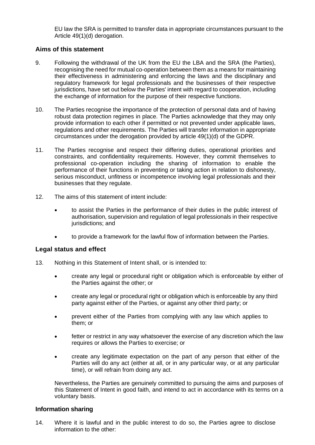EU law the SRA is permitted to transfer data in appropriate circumstances pursuant to the Article 49(1)(d) derogation.

### **Aims of this statement**

- 9. Following the withdrawal of the UK from the EU the LBA and the SRA (the Parties), recognising the need for mutual co-operation between them as a means for maintaining their effectiveness in administering and enforcing the laws and the disciplinary and regulatory framework for legal professionals and the businesses of their respective jurisdictions, have set out below the Parties' intent with regard to cooperation, including the exchange of information for the purpose of their respective functions.
- 10. The Parties recognise the importance of the protection of personal data and of having robust data protection regimes in place. The Parties acknowledge that they may only provide information to each other if permitted or not prevented under applicable laws, regulations and other requirements. The Parties will transfer information in appropriate circumstances under the derogation provided by article 49(1)(d) of the GDPR.
- 11. The Parties recognise and respect their differing duties, operational priorities and constraints, and confidentiality requirements. However, they commit themselves to professional co-operation including the sharing of information to enable the performance of their functions in preventing or taking action in relation to dishonesty, serious misconduct, unfitness or incompetence involving legal professionals and their businesses that they regulate.
- 12. The aims of this statement of intent include:
	- to assist the Parties in the performance of their duties in the public interest of authorisation, supervision and regulation of legal professionals in their respective jurisdictions; and
	- to provide a framework for the lawful flow of information between the Parties.

## **Legal status and effect**

- 13. Nothing in this Statement of Intent shall, or is intended to:
	- create any legal or procedural right or obligation which is enforceable by either of the Parties against the other; or
	- create any legal or procedural right or obligation which is enforceable by any third party against either of the Parties, or against any other third party; or
	- prevent either of the Parties from complying with any law which applies to them; or
	- fetter or restrict in any way whatsoever the exercise of any discretion which the law requires or allows the Parties to exercise; or
	- create any legitimate expectation on the part of any person that either of the Parties will do any act (either at all, or in any particular way, or at any particular time), or will refrain from doing any act.

Nevertheless, the Parties are genuinely committed to pursuing the aims and purposes of this Statement of Intent in good faith, and intend to act in accordance with its terms on a voluntary basis.

#### **Information sharing**

14. Where it is lawful and in the public interest to do so, the Parties agree to disclose information to the other: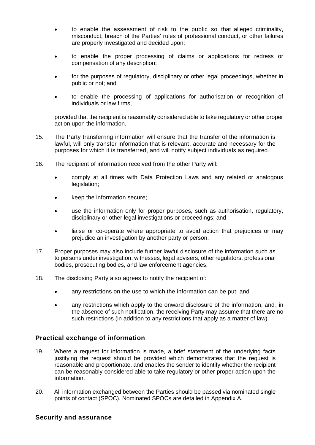- to enable the assessment of risk to the public so that alleged criminality, misconduct, breach of the Parties' rules of professional conduct, or other failures are properly investigated and decided upon;
- to enable the proper processing of claims or applications for redress or compensation of any description;
- for the purposes of regulatory, disciplinary or other legal proceedings, whether in public or not; and
- to enable the processing of applications for authorisation or recognition of individuals or law firms,

provided that the recipient is reasonably considered able to take regulatory or other proper action upon the information.

- 15. The Party transferring information will ensure that the transfer of the information is lawful, will only transfer information that is relevant, accurate and necessary for the purposes for which it is transferred, and will notify subject individuals as required.
- 16. The recipient of information received from the other Party will:
	- comply at all times with Data Protection Laws and any related or analogous legislation;
	- keep the information secure;
	- use the information only for proper purposes, such as authorisation, regulatory, disciplinary or other legal investigations or proceedings; and
	- liaise or co-operate where appropriate to avoid action that prejudices or may prejudice an investigation by another party or person.
- 17. Proper purposes may also include further lawful disclosure of the information such as to persons under investigation, witnesses, legal advisers, other regulators, professional bodies, prosecuting bodies, and law enforcement agencies.
- 18. The disclosing Party also agrees to notify the recipient of:
	- any restrictions on the use to which the information can be put; and
	- any restrictions which apply to the onward disclosure of the information, and, in the absence of such notification, the receiving Party may assume that there are no such restrictions (in addition to any restrictions that apply as a matter of law).

## **Practical exchange of information**

- 19. Where a request for information is made, a brief statement of the underlying facts justifying the request should be provided which demonstrates that the request is reasonable and proportionate, and enables the sender to identify whether the recipient can be reasonably considered able to take regulatory or other proper action upon the information.
- 20. All information exchanged between the Parties should be passed via nominated single points of contact (SPOC). Nominated SPOCs are detailed in Appendix A.

#### **Security and assurance**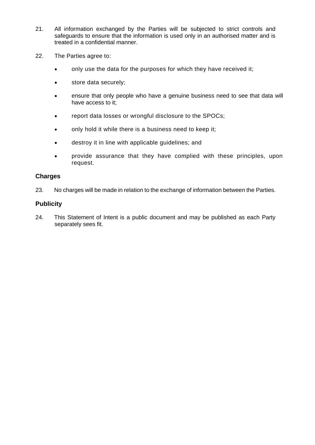- 21. All information exchanged by the Parties will be subjected to strict controls and safeguards to ensure that the information is used only in an authorised matter and is treated in a confidential manner.
- 22. The Parties agree to:
	- only use the data for the purposes for which they have received it;
	- store data securely;
	- ensure that only people who have a genuine business need to see that data will have access to it;
	- report data losses or wrongful disclosure to the SPOCs;
	- only hold it while there is a business need to keep it;
	- destroy it in line with applicable guidelines; and
	- provide assurance that they have complied with these principles, upon request.

#### **Charges**

23. No charges will be made in relation to the exchange of information between the Parties.

#### **Publicity**

24. This Statement of Intent is a public document and may be published as each Party separately sees fit.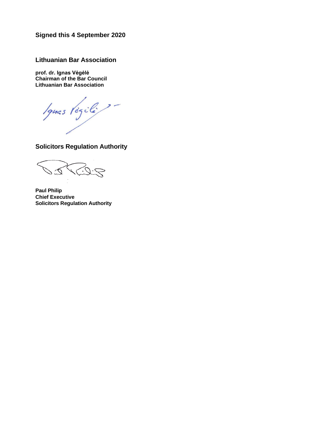**Signed this 4 September 2020** 

**Lithuanian Bar Association**

**prof. dr. Ignas Vėgėlė Chairman of the Bar Council Lithuanian Bar Association**

Ignas Végili?

**Solicitors Regulation Authority**

**Paul Philip Chief Executive Solicitors Regulation Authority**